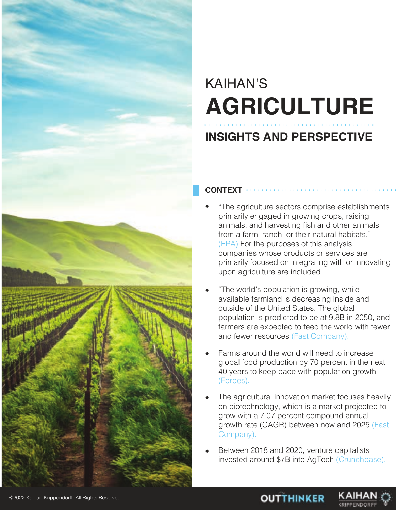

## KAIHAN'S **AGRICULTURE**

### **INSIGHTS AND PERSPECTIVE**

#### **CONTEXT**

- "The agriculture sectors comprise establishments primarily engaged in growing crops, raising animals, and harvesting fish and other animals from a farm, ranch, or their natural habitats." (EPA) For the purposes of this analysis, companies whose products or services are primarily focused on integrating with or innovating upon agriculture are included.
- "The world's population is growing, while available farmland is decreasing inside and outside of the United States. The global population is predicted to be at 9.8B in 2050, and farmers are expected to feed the world with fewer and fewer resources (Fast Company).
- Farms around the world will need to increase global food production by 70 percent in the next 40 years to keep pace with population growth (Forbes).
- The agricultural innovation market focuses heavily on biotechnology, which is a market projected to grow with a 7.07 percent compound annual growth rate (CAGR) between now and 2025 (Fast Company).
- Between 2018 and 2020, venture capitalists invested around \$7B into AgTech (Crunchbase).



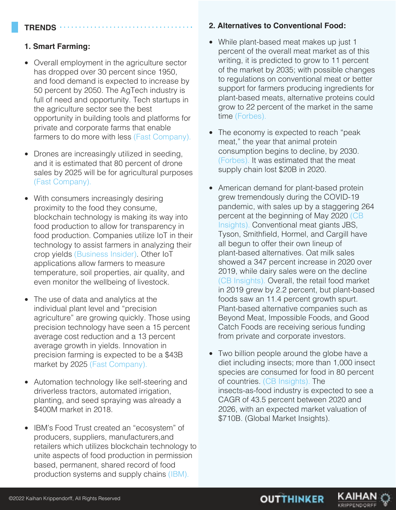#### **TRENDS**

#### **1. Smart Farming:**

- Overall employment in the agriculture sector has dropped over 30 percent since 1950, and food demand is expected to increase by 50 percent by 2050. The AgTech industry is full of need and opportunity. Tech startups in the agriculture sector see the best opportunity in building tools and platforms for private and corporate farms that enable farmers to do more with less (Fast Company).
- Drones are increasingly utilized in seeding, and it is estimated that 80 percent of drone sales by 2025 will be for agricultural purposes (Fast Company).
- With consumers increasingly desiring proximity to the food they consume, blockchain technology is making its way into food production to allow for transparency in food production. Companies utilize IoT in their technology to assist farmers in analyzing their crop yields (Business Insider). Other IoT applications allow farmers to measure temperature, soil properties, air quality, and even monitor the wellbeing of livestock.
- The use of data and analytics at the individual plant level and "precision agriculture" are growing quickly. Those using precision technology have seen a 15 percent average cost reduction and a 13 percent average growth in yields. Innovation in precision farming is expected to be a \$43B market by 2025 (Fast Company). •
- Automation technology like self-steering and driverless tractors, automated irrigation, planting, and seed spraying was already a \$400M market in 2018.
- IBM's Food Trust created an "ecosystem" of producers, suppliers, manufacturers,and retailers which utilizes blockchain technology to unite aspects of food production in permission based, permanent, shared record of food production systems and supply chains (IBM).

#### **2. Alternatives to Conventional Food:**

- While plant-based meat makes up just 1 percent of the overall meat market as of this writing, it is predicted to grow to 11 percent of the market by 2035; with possible changes to regulations on conventional meat or better support for farmers producing ingredients for plant-based meats, alternative proteins could grow to 22 percent of the market in the same time (Forbes).
- The economy is expected to reach "peak meat," the year that animal protein consumption begins to decline, by 2030. (Forbes). It was estimated that the meat supply chain lost \$20B in 2020.
- American demand for plant-based protein grew tremendously during the COVID-19 pandemic, with sales up by a staggering 264 percent at the beginning of May 2020 (CB Insights). Conventional meat giants JBS, Tyson, Smithfield, Hormel, and Cargill have all begun to offer their own lineup of plant-based alternatives. Oat milk sales showed a 347 percent increase in 2020 over 2019, while dairy sales were on the decline (CB Insights). Overall, the retail food market in 2019 grew by 2.2 percent, but plant-based foods saw an 11.4 percent growth spurt. Plant-based alternative companies such as Beyond Meat, Impossible Foods, and Good Catch Foods are receiving serious funding from private and corporate investors. •
- Two billion people around the globe have a diet including insects; more than 1,000 insect species are consumed for food in 80 percent of countries. (CB Insights). The insects-as-food industry is expected to see a CAGR of 43.5 percent between 2020 and 2026, with an expected market valuation of \$710B. (Global Market Insights).

**OUTTHINKER** 

KAIHA KRIPPENDOR

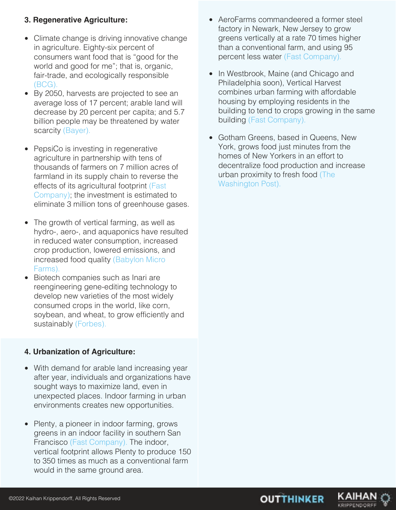#### **3. Regenerative Agriculture:**

- Climate change is driving innovative change in agriculture. Eighty-six percent of consumers want food that is "good for the world and good for me"; that is, organic, fair-trade, and ecologically responsible (BCG).
- By 2050, harvests are projected to see an average loss of 17 percent; arable land will decrease by 20 percent per capita; and 5.7 billion people may be threatened by water scarcity (Bayer).
- PepsiCo is investing in regenerative agriculture in partnership with tens of thousands of farmers on 7 million acres of farmland in its supply chain to reverse the effects of its agricultural footprint (Fast Company); the investment is estimated to eliminate 3 million tons of greenhouse gases.
- The growth of vertical farming, as well as hydro-, aero-, and aquaponics have resulted in reduced water consumption, increased crop production, lowered emissions, and increased food quality (Babylon Micro Farms).
- Biotech companies such as Inari are reengineering gene-editing technology to develop new varieties of the most widely consumed crops in the world, like corn, soybean, and wheat, to grow efficiently and sustainably (Forbes).

#### **4. Urbanization of Agriculture:**

- With demand for arable land increasing year after year, individuals and organizations have sought ways to maximize land, even in unexpected places. Indoor farming in urban environments creates new opportunities.
- Plenty, a pioneer in indoor farming, grows greens in an indoor facility in southern San Francisco (Fast Company). The indoor, vertical footprint allows Plenty to produce 150 to 350 times as much as a conventional farm would in the same ground area.
- AeroFarms commandeered a former steel factory in Newark, New Jersey to grow greens vertically at a rate 70 times higher than a conventional farm, and using 95 percent less water (Fast Company).
- In Westbrook, Maine (and Chicago and Philadelphia soon), Vertical Harvest combines urban farming with affordable housing by employing residents in the building to tend to crops growing in the same building (Fast Company).
- Gotham Greens, based in Queens, New York, grows food just minutes from the homes of New Yorkers in an effort to decentralize food production and increase urban proximity to fresh food (The Washington Post).



KAIHA

KRIPPENDOR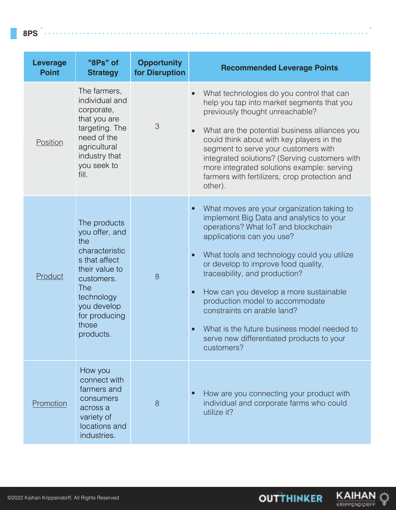| <b>Leverage</b><br><b>Point</b> | "8Ps" of<br><b>Strategy</b>                                                                                                                                                                | <b>Opportunity</b><br>for Disruption | <b>Recommended Leverage Points</b>                                                                                                                                                                                                                                                                                                                                                                                                                                                                      |
|---------------------------------|--------------------------------------------------------------------------------------------------------------------------------------------------------------------------------------------|--------------------------------------|---------------------------------------------------------------------------------------------------------------------------------------------------------------------------------------------------------------------------------------------------------------------------------------------------------------------------------------------------------------------------------------------------------------------------------------------------------------------------------------------------------|
| Position                        | The farmers,<br>individual and<br>corporate,<br>that you are<br>targeting. The<br>need of the<br>agricultural<br>industry that<br>you seek to<br>fill.                                     | 3                                    | What technologies do you control that can<br>help you tap into market segments that you<br>previously thought unreachable?<br>What are the potential business alliances you<br>could think about with key players in the<br>segment to serve your customers with<br>integrated solutions? (Serving customers with<br>more integrated solutions example: serving<br>farmers with fertilizers, crop protection and<br>other).                                                                             |
| Product                         | The products<br>you offer, and<br>the<br>characteristic<br>s that affect<br>their value to<br>customers.<br><b>The</b><br>technology<br>you develop<br>for producing<br>those<br>products. | 8                                    | What moves are your organization taking to<br>implement Big Data and analytics to your<br>operations? What IoT and blockchain<br>applications can you use?<br>What tools and technology could you utilize<br>or develop to improve food quality,<br>traceability, and production?<br>How can you develop a more sustainable<br>production model to accommodate<br>constraints on arable land?<br>What is the future business model needed to<br>serve new differentiated products to your<br>customers? |
| Promotion                       | How you<br>connect with<br>farmers and<br>consumers<br>across a<br>variety of<br>locations and<br>industries.                                                                              | 8                                    | How are you connecting your product with<br>individual and corporate farms who could<br>utilize it?                                                                                                                                                                                                                                                                                                                                                                                                     |

**KAIHAN**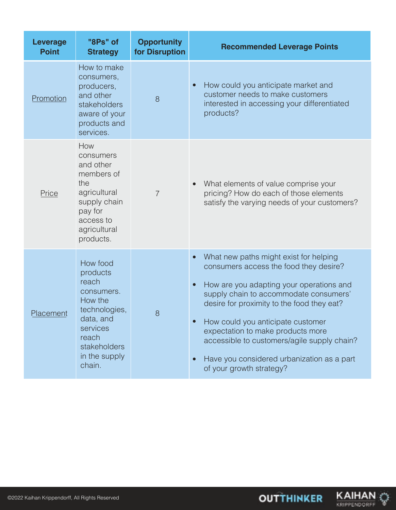| <b>Leverage</b><br><b>Point</b> | "8Ps" of<br><b>Strategy</b>                                                                                                                          | <b>Opportunity</b><br>for Disruption | <b>Recommended Leverage Points</b>                                                                                                                                                                                                                                                                                                                                                                                                                             |
|---------------------------------|------------------------------------------------------------------------------------------------------------------------------------------------------|--------------------------------------|----------------------------------------------------------------------------------------------------------------------------------------------------------------------------------------------------------------------------------------------------------------------------------------------------------------------------------------------------------------------------------------------------------------------------------------------------------------|
| Promotion                       | How to make<br>consumers,<br>producers,<br>and other<br>stakeholders<br>aware of your<br>products and<br>services.                                   | 8                                    | How could you anticipate market and<br>$\bullet$<br>customer needs to make customers<br>interested in accessing your differentiated<br>products?                                                                                                                                                                                                                                                                                                               |
| Price                           | How<br>consumers<br>and other<br>members of<br>the<br>agricultural<br>supply chain<br>pay for<br>access to<br>agricultural<br>products.              | $\overline{7}$                       | What elements of value comprise your<br>$\bullet$<br>pricing? How do each of those elements<br>satisfy the varying needs of your customers?                                                                                                                                                                                                                                                                                                                    |
| Placement                       | How food<br>products<br>reach<br>consumers.<br>How the<br>technologies,<br>data, and<br>services<br>reach<br>stakeholders<br>in the supply<br>chain. | 8                                    | What new paths might exist for helping<br>$\bullet$<br>consumers access the food they desire?<br>How are you adapting your operations and<br>$\bullet$<br>supply chain to accommodate consumers'<br>desire for proximity to the food they eat?<br>How could you anticipate customer<br>expectation to make products more<br>accessible to customers/agile supply chain?<br>Have you considered urbanization as a part<br>$\bullet$<br>of your growth strategy? |

KAIHAN

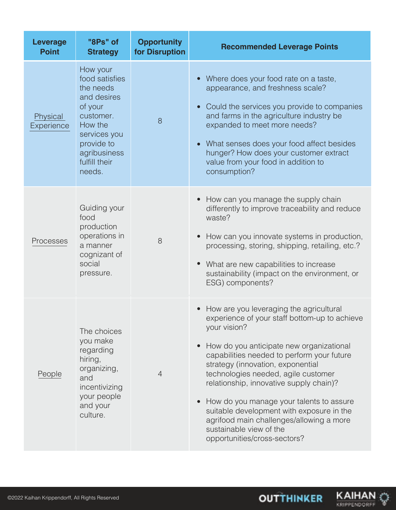| <b>Leverage</b><br><b>Point</b> | "8Ps" of<br><b>Strategy</b>                                                                                                                                        | <b>Opportunity</b><br>for Disruption | <b>Recommended Leverage Points</b>                                                                                                                                                                                                                                                                                                                                                                                                                                                                                        |
|---------------------------------|--------------------------------------------------------------------------------------------------------------------------------------------------------------------|--------------------------------------|---------------------------------------------------------------------------------------------------------------------------------------------------------------------------------------------------------------------------------------------------------------------------------------------------------------------------------------------------------------------------------------------------------------------------------------------------------------------------------------------------------------------------|
| Physical<br>Experience          | How your<br>food satisfies<br>the needs<br>and desires<br>of your<br>customer.<br>How the<br>services you<br>provide to<br>agribusiness<br>fulfill their<br>needs. | 8                                    | Where does your food rate on a taste,<br>appearance, and freshness scale?<br>Could the services you provide to companies<br>and farms in the agriculture industry be<br>expanded to meet more needs?<br>What senses does your food affect besides<br>hunger? How does your customer extract<br>value from your food in addition to<br>consumption?                                                                                                                                                                        |
| Processes                       | Guiding your<br>food<br>production<br>operations in<br>a manner<br>cognizant of<br>social<br>pressure.                                                             | 8                                    | How can you manage the supply chain<br>differently to improve traceability and reduce<br>waste?<br>How can you innovate systems in production,<br>processing, storing, shipping, retailing, etc.?<br>What are new capabilities to increase<br>sustainability (impact on the environment, or<br>ESG) components?                                                                                                                                                                                                           |
| People                          | The choices<br>you make<br>regarding<br>hiring,<br>organizing,<br>and<br>incentivizing<br>your people<br>and your<br>culture.                                      | $\overline{4}$                       | How are you leveraging the agricultural<br>experience of your staff bottom-up to achieve<br>your vision?<br>How do you anticipate new organizational<br>capabilities needed to perform your future<br>strategy (innovation, exponential<br>technologies needed, agile customer<br>relationship, innovative supply chain)?<br>How do you manage your talents to assure<br>suitable development with exposure in the<br>agrifood main challenges/allowing a more<br>sustainable view of the<br>opportunities/cross-sectors? |



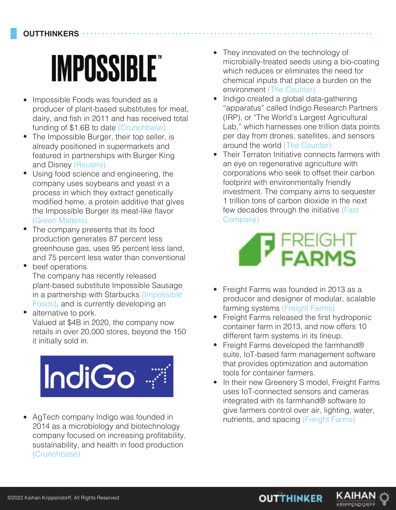# **IMPOSSIBLE**

- Impossible Foods was founded as a producer of plant-based substitutes for meat, dairy, and fish in 2011 and has received total funding of \$1.6B to date (Crunchbase).  $\bullet$
- The Impossible Burger, their top seller, is already positioned in supermarkets and featured in partnerships with Burger King and Disney (Reuters).
- Using food science and engineering, the company uses soybeans and yeast in a process in which they extract genetically modified heme, a protein additive that gives the Impossible Burger its meat-like flavor (Green Matters).
- The company presents that its food production generates 87 percent less greenhouse gas, uses 95 percent less land, and 75 percent less water than conventional  $\bullet$
- beef operations. The company has recently released plant-based substitute Impossible Sausage in a partnership with Starbucks (Impossible Foods), and is currently developing an •
- alternative to pork. Valued at \$4B in 2020, the company now retails in over 20,000 stores, beyond the 150 it initially sold in. •



company focused on increasing profitability, sustainability, and health in food production (Crunchbase). • AgTech company Indigo was founded in

- They innovated on the technology of microbially-treated seeds using a bio-coating which reduces or eliminates the need for chemical inputs that place a burden on the environment (The Counter).
- Indigo created a global data-gathering "apparatus" called Indigo Research Partners (IRP), or "The World's Largest Agricultural Lab," which harnesses one trillion data points per day from drones, satellites, and sensors around the world (The Counter).
- Their Terraton Initiative connects farmers with an eye on regenerative agriculture with corporations who seek to offset their carbon footprint with environmentally friendly investment. The company aims to sequester 1 trillion tons of carbon dioxide in the next few decades through the initiative (Fast Company).



- Freight Farms was founded in 2013 as a producer and designer of modular, scalable farming systems (Freight Farms).
- Freight Farms released the first hydroponic container farm in 2013, and now offers 10 different farm systems in its lineup.
- Freight Farms developed the farmhand® suite, IoT-based farm management software that provides optimization and automation tools for container farmers.
- In their new Greenery S model, Freight Farms uses IoT-connected sensors and cameras integrated with its farmhand® software to give farmers control over air, lighting, water,<br>AgTech company Indigo was founded in<br>2014 as a microbiology and biotechnology

**OUTTHINKER** 

KAIHAI

KRIPPENDORFI